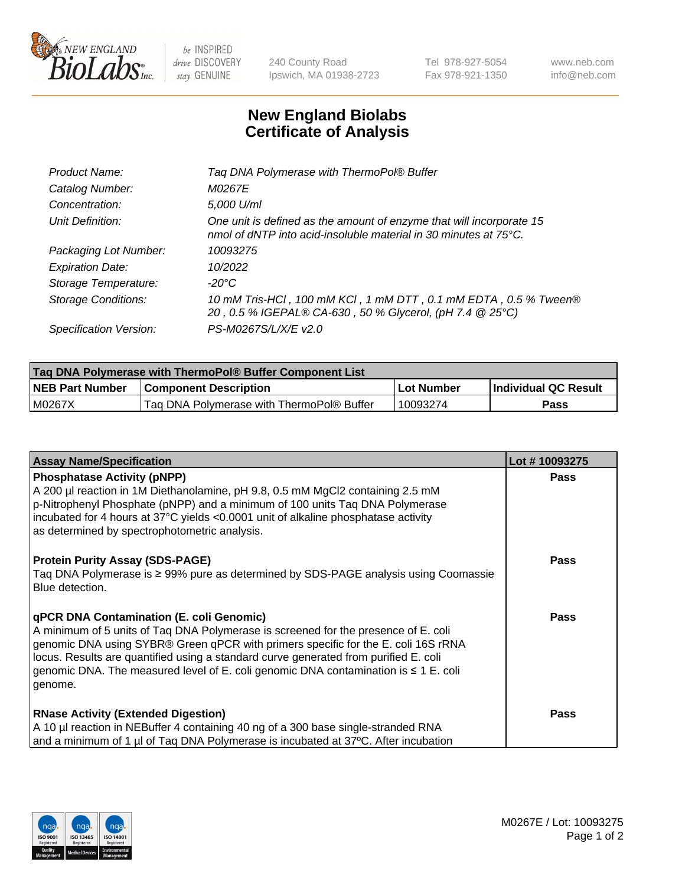

 $be$  INSPIRED drive DISCOVERY stay GENUINE

240 County Road Ipswich, MA 01938-2723 Tel 978-927-5054 Fax 978-921-1350 www.neb.com info@neb.com

## **New England Biolabs Certificate of Analysis**

| Product Name:              | Tag DNA Polymerase with ThermoPol® Buffer                                                                                                |
|----------------------------|------------------------------------------------------------------------------------------------------------------------------------------|
| Catalog Number:            | M0267E                                                                                                                                   |
| Concentration:             | 5,000 U/ml                                                                                                                               |
| Unit Definition:           | One unit is defined as the amount of enzyme that will incorporate 15<br>nmol of dNTP into acid-insoluble material in 30 minutes at 75°C. |
| Packaging Lot Number:      | 10093275                                                                                                                                 |
| <b>Expiration Date:</b>    | 10/2022                                                                                                                                  |
| Storage Temperature:       | $-20^{\circ}$ C                                                                                                                          |
| <b>Storage Conditions:</b> | 10 mM Tris-HCl, 100 mM KCl, 1 mM DTT, 0.1 mM EDTA, 0.5 % Tween®<br>20, 0.5 % IGEPAL® CA-630, 50 % Glycerol, (pH 7.4 @ 25°C)              |
| Specification Version:     | PS-M0267S/L/X/E v2.0                                                                                                                     |

| Taq DNA Polymerase with ThermoPol® Buffer Component List |                                           |              |                      |  |
|----------------------------------------------------------|-------------------------------------------|--------------|----------------------|--|
| <b>NEB Part Number</b>                                   | <b>Component Description</b>              | l Lot Number | Individual QC Result |  |
| M0267X                                                   | Tag DNA Polymerase with ThermoPol® Buffer | 10093274     | Pass                 |  |

| <b>Assay Name/Specification</b>                                                                                                                                                                                                                                                                                                                                                                                    | Lot #10093275 |
|--------------------------------------------------------------------------------------------------------------------------------------------------------------------------------------------------------------------------------------------------------------------------------------------------------------------------------------------------------------------------------------------------------------------|---------------|
| <b>Phosphatase Activity (pNPP)</b><br>A 200 µl reaction in 1M Diethanolamine, pH 9.8, 0.5 mM MgCl2 containing 2.5 mM<br>p-Nitrophenyl Phosphate (pNPP) and a minimum of 100 units Taq DNA Polymerase<br>incubated for 4 hours at 37°C yields <0.0001 unit of alkaline phosphatase activity<br>as determined by spectrophotometric analysis.                                                                        | <b>Pass</b>   |
| <b>Protein Purity Assay (SDS-PAGE)</b><br>Taq DNA Polymerase is ≥ 99% pure as determined by SDS-PAGE analysis using Coomassie<br>Blue detection.                                                                                                                                                                                                                                                                   | <b>Pass</b>   |
| qPCR DNA Contamination (E. coli Genomic)<br>A minimum of 5 units of Tag DNA Polymerase is screened for the presence of E. coli<br>genomic DNA using SYBR® Green qPCR with primers specific for the E. coli 16S rRNA<br>locus. Results are quantified using a standard curve generated from purified E. coli<br>genomic DNA. The measured level of E. coli genomic DNA contamination is $\leq 1$ E. coli<br>genome. | <b>Pass</b>   |
| <b>RNase Activity (Extended Digestion)</b><br>A 10 µl reaction in NEBuffer 4 containing 40 ng of a 300 base single-stranded RNA<br>and a minimum of 1 µl of Taq DNA Polymerase is incubated at 37°C. After incubation                                                                                                                                                                                              | <b>Pass</b>   |